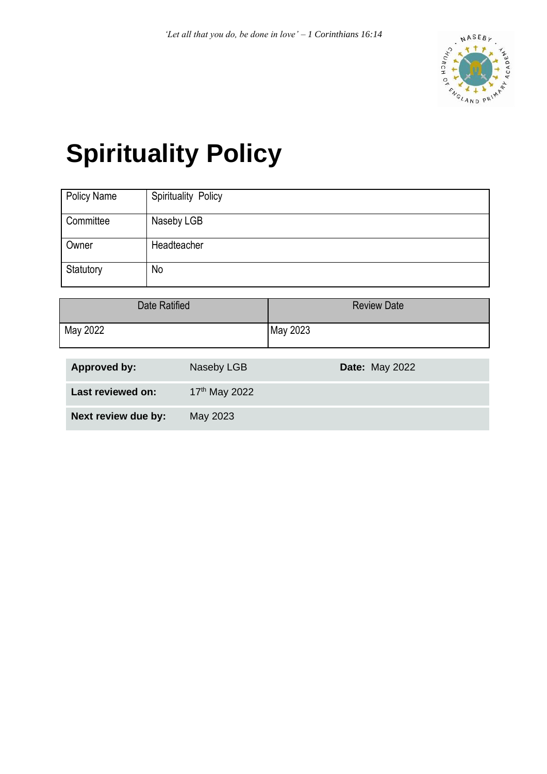

# **Spirituality Policy**

| <b>Policy Name</b> | <b>Spirituality Policy</b> |
|--------------------|----------------------------|
| Committee          | Naseby LGB                 |
| Owner              | Headteacher                |
| Statutory          | No                         |

| Date Ratified | <b>Review Date</b> |
|---------------|--------------------|
| May 2022      | May 2023           |

| Approved by:        | Naseby LGB                | <b>Date: May 2022</b> |
|---------------------|---------------------------|-----------------------|
| Last reviewed on:   | 17 <sup>th</sup> May 2022 |                       |
| Next review due by: | May 2023                  |                       |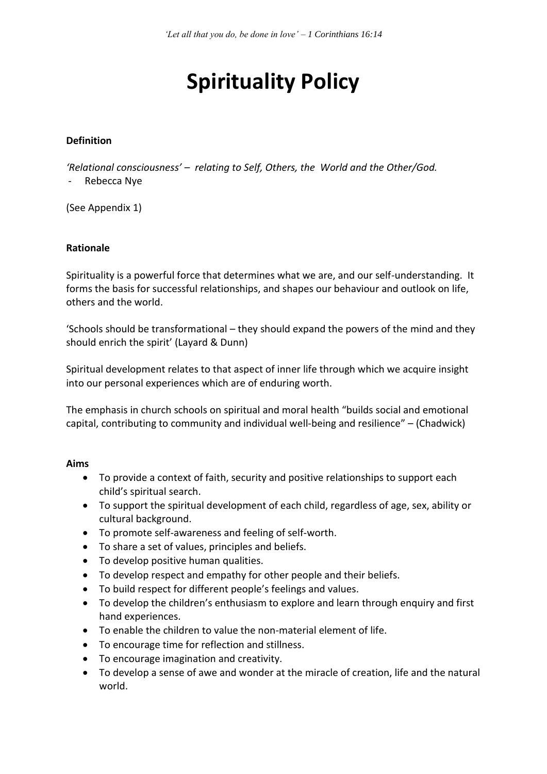## **Spirituality Policy**

#### **Definition**

*'Relational consciousness' – relating to Self, Others, the World and the Other/God.*

- Rebecca Nye

(See Appendix 1)

#### **Rationale**

Spirituality is a powerful force that determines what we are, and our self-understanding. It forms the basis for successful relationships, and shapes our behaviour and outlook on life, others and the world.

'Schools should be transformational – they should expand the powers of the mind and they should enrich the spirit' (Layard & Dunn)

Spiritual development relates to that aspect of inner life through which we acquire insight into our personal experiences which are of enduring worth.

The emphasis in church schools on spiritual and moral health "builds social and emotional capital, contributing to community and individual well-being and resilience" – (Chadwick)

#### **Aims**

- To provide a context of faith, security and positive relationships to support each child's spiritual search.
- To support the spiritual development of each child, regardless of age, sex, ability or cultural background.
- To promote self-awareness and feeling of self-worth.
- To share a set of values, principles and beliefs.
- To develop positive human qualities.
- To develop respect and empathy for other people and their beliefs.
- To build respect for different people's feelings and values.
- To develop the children's enthusiasm to explore and learn through enquiry and first hand experiences.
- To enable the children to value the non-material element of life.
- To encourage time for reflection and stillness.
- To encourage imagination and creativity.
- To develop a sense of awe and wonder at the miracle of creation, life and the natural world.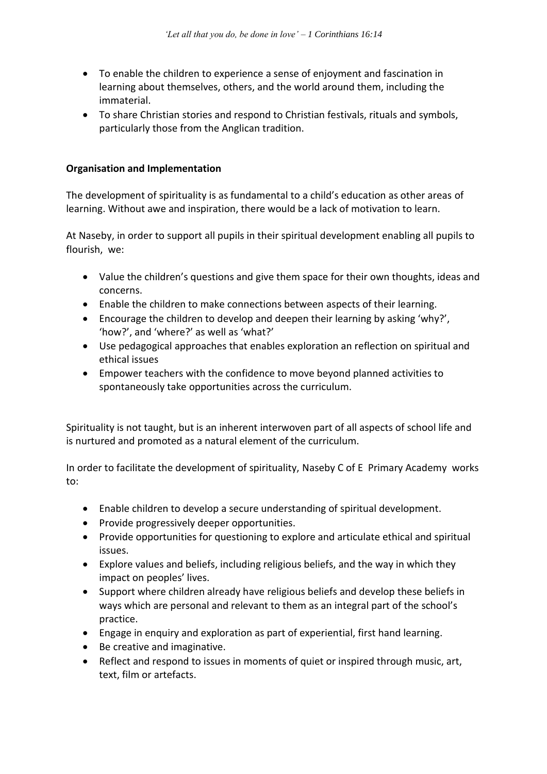- To enable the children to experience a sense of enjoyment and fascination in learning about themselves, others, and the world around them, including the immaterial.
- To share Christian stories and respond to Christian festivals, rituals and symbols, particularly those from the Anglican tradition.

#### **Organisation and Implementation**

The development of spirituality is as fundamental to a child's education as other areas of learning. Without awe and inspiration, there would be a lack of motivation to learn.

At Naseby, in order to support all pupils in their spiritual development enabling all pupils to flourish, we:

- Value the children's questions and give them space for their own thoughts, ideas and concerns.
- Enable the children to make connections between aspects of their learning.
- Encourage the children to develop and deepen their learning by asking 'why?', 'how?', and 'where?' as well as 'what?'
- Use pedagogical approaches that enables exploration an reflection on spiritual and ethical issues
- Empower teachers with the confidence to move beyond planned activities to spontaneously take opportunities across the curriculum.

Spirituality is not taught, but is an inherent interwoven part of all aspects of school life and is nurtured and promoted as a natural element of the curriculum.

In order to facilitate the development of spirituality, Naseby C of E Primary Academy works to:

- Enable children to develop a secure understanding of spiritual development.
- Provide progressively deeper opportunities.
- Provide opportunities for questioning to explore and articulate ethical and spiritual issues.
- Explore values and beliefs, including religious beliefs, and the way in which they impact on peoples' lives.
- Support where children already have religious beliefs and develop these beliefs in ways which are personal and relevant to them as an integral part of the school's practice.
- Engage in enquiry and exploration as part of experiential, first hand learning.
- Be creative and imaginative.
- Reflect and respond to issues in moments of quiet or inspired through music, art, text, film or artefacts.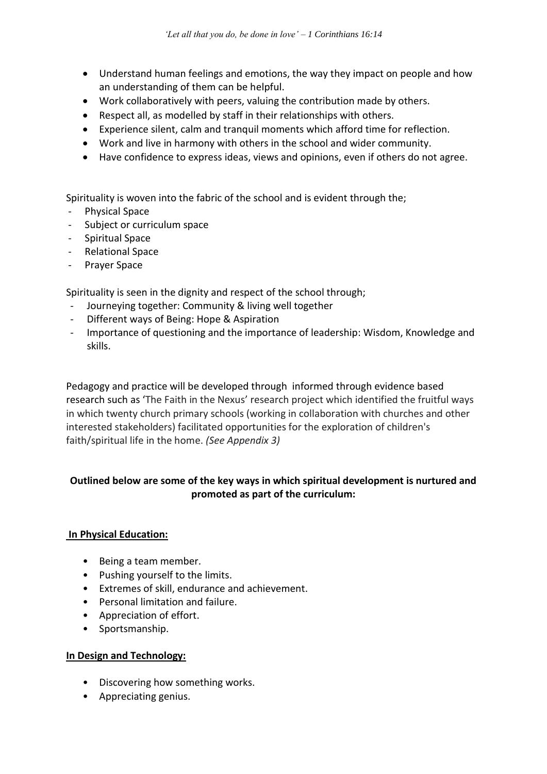- Understand human feelings and emotions, the way they impact on people and how an understanding of them can be helpful.
- Work collaboratively with peers, valuing the contribution made by others.
- Respect all, as modelled by staff in their relationships with others.
- Experience silent, calm and tranquil moments which afford time for reflection.
- Work and live in harmony with others in the school and wider community.
- Have confidence to express ideas, views and opinions, even if others do not agree.

Spirituality is woven into the fabric of the school and is evident through the;

- Physical Space
- Subject or curriculum space
- Spiritual Space
- Relational Space
- Prayer Space

Spirituality is seen in the dignity and respect of the school through;

- Journeying together: Community & living well together
- Different ways of Being: Hope & Aspiration
- Importance of questioning and the importance of leadership: Wisdom, Knowledge and skills.

Pedagogy and practice will be developed through informed through evidence based research such as 'The Faith in the Nexus' research project which identified the fruitful ways in which twenty church primary schools (working in collaboration with churches and other interested stakeholders) facilitated opportunities for the exploration of children's faith/spiritual life in the home. *(See Appendix 3)*

#### **Outlined below are some of the key ways in which spiritual development is nurtured and promoted as part of the curriculum:**

#### **In Physical Education:**

- Being a team member.
- Pushing yourself to the limits.
- Extremes of skill, endurance and achievement.
- Personal limitation and failure.
- Appreciation of effort.
- Sportsmanship.

#### **In Design and Technology:**

- Discovering how something works.
- Appreciating genius.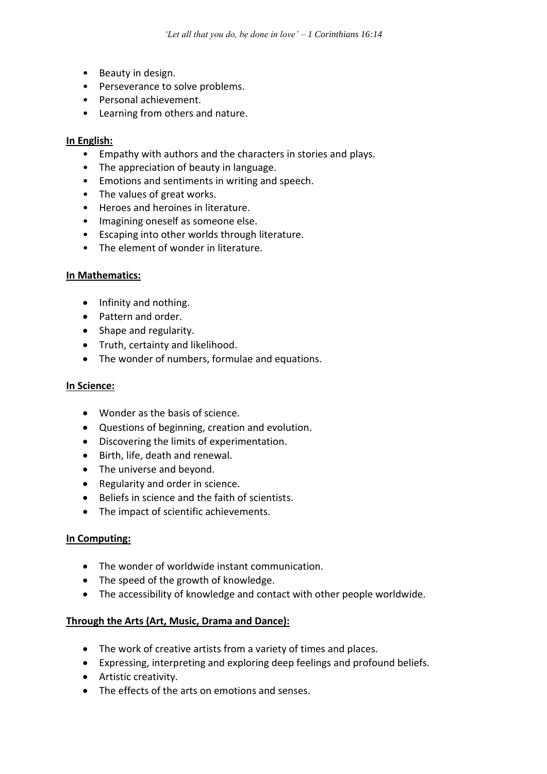- Beauty in design.
- Perseverance to solve problems.
- Personal achievement.
- Learning from others and nature.

#### **In English:**

- Empathy with authors and the characters in stories and plays.
- The appreciation of beauty in language.
- Emotions and sentiments in writing and speech.
- The values of great works.
- Heroes and heroines in literature.
- Imagining oneself as someone else.
- Escaping into other worlds through literature.
- The element of wonder in literature.

#### **In Mathematics:**

- Infinity and nothing.
- Pattern and order.
- Shape and regularity.
- Truth, certainty and likelihood.
- The wonder of numbers, formulae and equations.

#### **In Science:**

- Wonder as the basis of science.
- Questions of beginning, creation and evolution.
- Discovering the limits of experimentation.
- Birth, life, death and renewal.
- The universe and beyond.
- Regularity and order in science.
- Beliefs in science and the faith of scientists.
- The impact of scientific achievements.

#### **In Computing:**

- The wonder of worldwide instant communication.
- The speed of the growth of knowledge.
- The accessibility of knowledge and contact with other people worldwide.

#### **Through the Arts (Art, Music, Drama and Dance):**

- The work of creative artists from a variety of times and places.
- Expressing, interpreting and exploring deep feelings and profound beliefs.
- Artistic creativity.
- The effects of the arts on emotions and senses.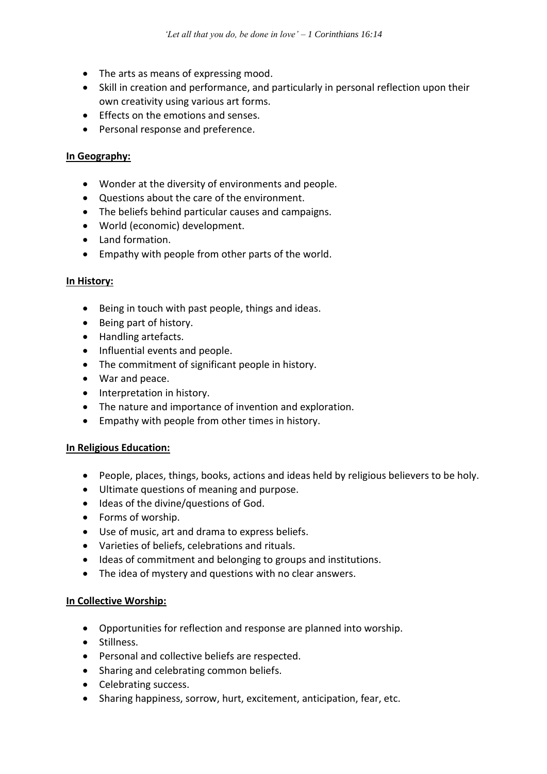- The arts as means of expressing mood.
- Skill in creation and performance, and particularly in personal reflection upon their own creativity using various art forms.
- Effects on the emotions and senses.
- Personal response and preference.

#### **In Geography:**

- Wonder at the diversity of environments and people.
- Questions about the care of the environment.
- The beliefs behind particular causes and campaigns.
- World (economic) development.
- Land formation.
- Empathy with people from other parts of the world.

#### **In History:**

- Being in touch with past people, things and ideas.
- Being part of history.
- Handling artefacts.
- Influential events and people.
- The commitment of significant people in history.
- War and peace.
- Interpretation in history.
- The nature and importance of invention and exploration.
- Empathy with people from other times in history.

#### **In Religious Education:**

- People, places, things, books, actions and ideas held by religious believers to be holy.
- Ultimate questions of meaning and purpose.
- Ideas of the divine/questions of God.
- Forms of worship.
- Use of music, art and drama to express beliefs.
- Varieties of beliefs, celebrations and rituals.
- Ideas of commitment and belonging to groups and institutions.
- The idea of mystery and questions with no clear answers.

#### **In Collective Worship:**

- Opportunities for reflection and response are planned into worship.
- Stillness.
- Personal and collective beliefs are respected.
- Sharing and celebrating common beliefs.
- Celebrating success.
- Sharing happiness, sorrow, hurt, excitement, anticipation, fear, etc.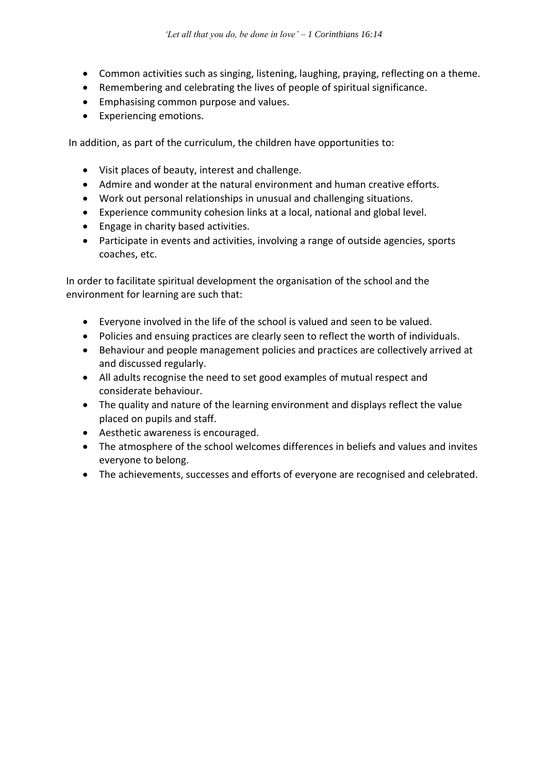- Common activities such as singing, listening, laughing, praying, reflecting on a theme.
- Remembering and celebrating the lives of people of spiritual significance.
- Emphasising common purpose and values.
- Experiencing emotions.

In addition, as part of the curriculum, the children have opportunities to:

- Visit places of beauty, interest and challenge.
- Admire and wonder at the natural environment and human creative efforts.
- Work out personal relationships in unusual and challenging situations.
- Experience community cohesion links at a local, national and global level.
- Engage in charity based activities.
- Participate in events and activities, involving a range of outside agencies, sports coaches, etc.

In order to facilitate spiritual development the organisation of the school and the environment for learning are such that:

- Everyone involved in the life of the school is valued and seen to be valued.
- Policies and ensuing practices are clearly seen to reflect the worth of individuals.
- Behaviour and people management policies and practices are collectively arrived at and discussed regularly.
- All adults recognise the need to set good examples of mutual respect and considerate behaviour.
- The quality and nature of the learning environment and displays reflect the value placed on pupils and staff.
- Aesthetic awareness is encouraged.
- The atmosphere of the school welcomes differences in beliefs and values and invites everyone to belong.
- The achievements, successes and efforts of everyone are recognised and celebrated.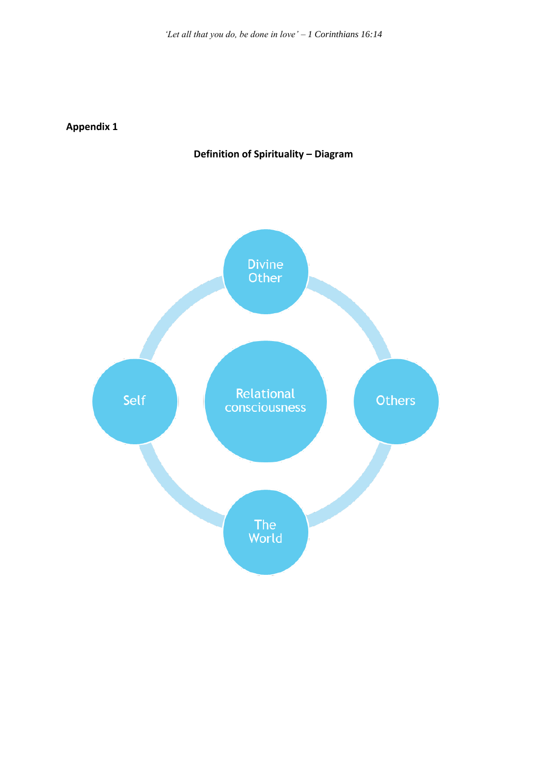**Appendix 1**

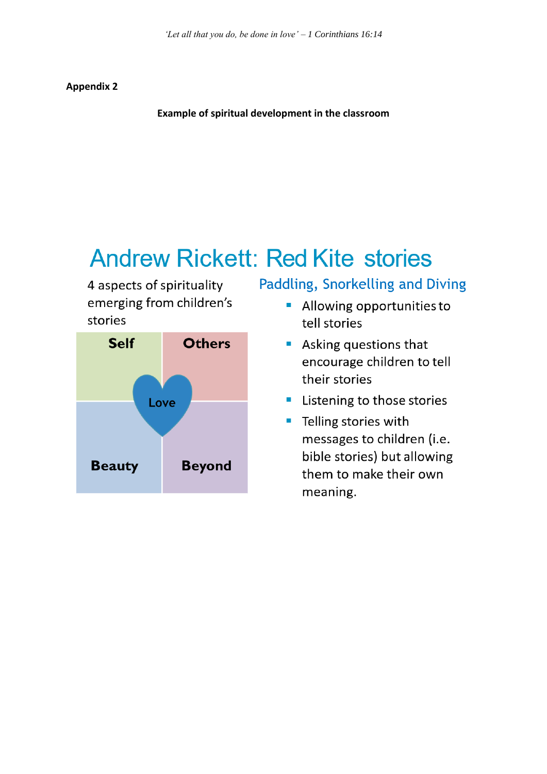#### **Appendix 2**

**Example of spiritual development in the classroom**

## **Andrew Rickett: Red Kite stories**

4 aspects of spirituality emerging from children's stories



### Paddling, Snorkelling and Diving

- Allowing opportunities to tell stories
- Asking questions that encourage children to tell their stories
- **E** Listening to those stories
- Telling stories with messages to children (i.e. bible stories) but allowing them to make their own meaning.